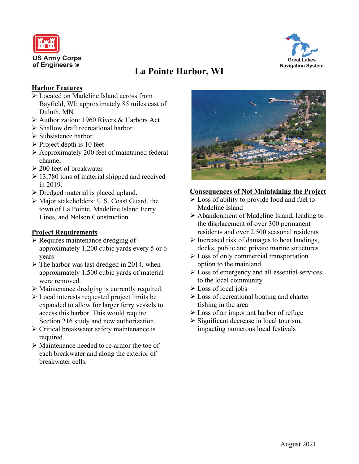



# **La Pointe Harbor, WI**

### **Harbor Features**

- Located on Madeline Island across from Bayfield, WI; approximately 85 miles east of Duluth, MN
- Authorization: 1960 Rivers & Harbors Act
- $\triangleright$  Shallow draft recreational harbor
- $\triangleright$  Subsistence harbor
- $\triangleright$  Project depth is 10 feet
- Approximately 200 feet of maintained federal channel
- $\geq 200$  feet of breakwater
- $\geq 13,780$  tons of material shipped and received in 2019.
- $\triangleright$  Dredged material is placed upland.
- Major stakeholders: U.S. Coast Guard, the town of La Pointe, Madeline Island Ferry Lines, and Nelson Construction

### **Project Requirements**

- $\triangleright$  Requires maintenance dredging of approximately 1,200 cubic yards every 5 or 6 years
- $\triangleright$  The harbor was last dredged in 2014, when approximately 1,500 cubic yards of material were removed.
- Maintenance dredging is currently required.
- Local interests requested project limits be expanded to allow for larger ferry vessels to access this harbor. This would require Section 216 study and new authorization.
- Critical breakwater safety maintenance is required.
- Maintenance needed to re-armor the toe of each breakwater and along the exterior of breakwater cells.



### **Consequences of Not Maintaining the Project**

- $\triangleright$  Loss of ability to provide food and fuel to Madeline Island
- $\triangleright$  Abandonment of Madeline Island, leading to the displacement of over 300 permanent residents and over 2,500 seasonal residents
- $\triangleright$  Increased risk of damages to boat landings, docks, public and private marine structures
- Loss of only commercial transportation option to the mainland
- $\triangleright$  Loss of emergency and all essential services to the local community
- $\triangleright$  Loss of local jobs
- Loss of recreational boating and charter fishing in the area
- **Example 1** Loss of an important harbor of refuge
- $\triangleright$  Significant decrease in local tourism, impacting numerous local festivals